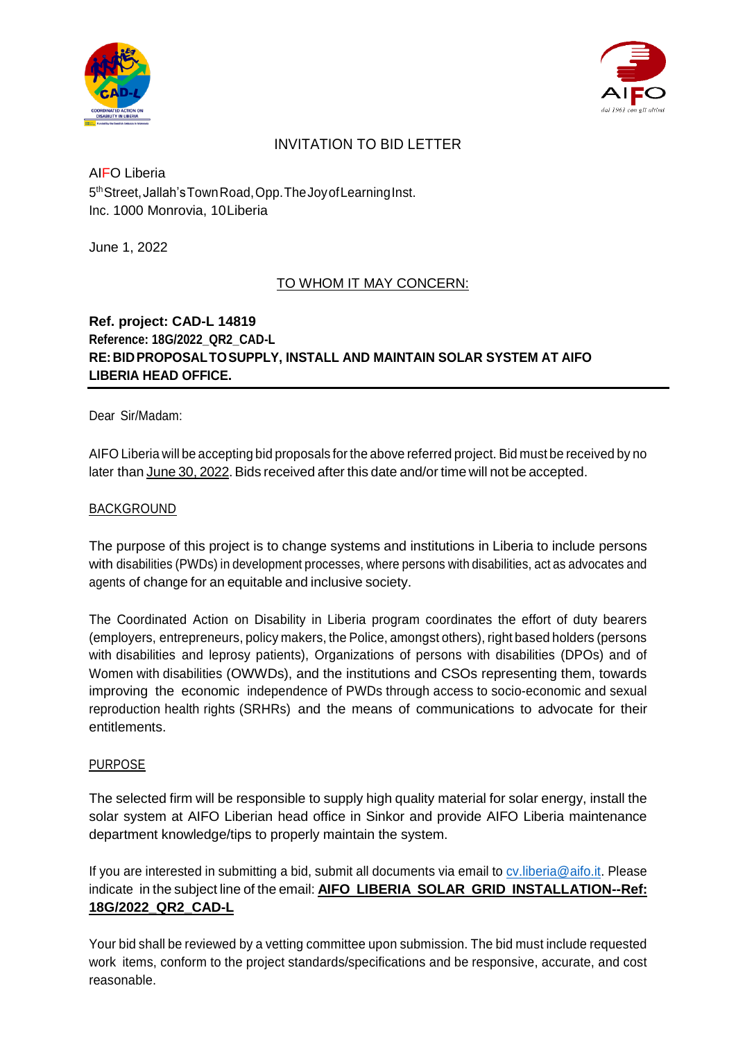



# INVITATION TO BID LETTER

## AIFO Liberia 5 thStreet,Jallah'sTownRoad,Opp.TheJoyofLearningInst. Inc. 1000 Monrovia, 10Liberia

June 1, 2022

## TO WHOM IT MAY CONCERN:

## **Ref. project: CAD-L 14819 Reference: 18G/2022\_QR2\_CAD-L RE:BIDPROPOSALTOSUPPLY, INSTALL AND MAINTAIN SOLAR SYSTEM AT AIFO LIBERIA HEAD OFFICE.**

Dear Sir/Madam:

AIFO Liberia will be accepting bid proposals for the above referred project. Bid must be received by no later than June 30, 2022. Bids received after this date and/or time will not be accepted.

### BACKGROUND

The purpose of this project is to change systems and institutions in Liberia to include persons with disabilities (PWDs) in development processes, where persons with disabilities, act as advocates and agents of change for an equitable and inclusive society.

The Coordinated Action on Disability in Liberia program coordinates the effort of duty bearers (employers, entrepreneurs, policy makers, the Police, amongst others), right based holders (persons with disabilities and leprosy patients), Organizations of persons with disabilities (DPOs) and of Women with disabilities (OWWDs), and the institutions and CSOs representing them, towards improving the economic independence of PWDs through access to socio-economic and sexual reproduction health rights (SRHRs) and the means of communications to advocate for their entitlements.

#### PURPOSE

The selected firm will be responsible to supply high quality material for solar energy, install the solar system at AIFO Liberian head office in Sinkor and provide AIFO Liberia maintenance department knowledge/tips to properly maintain the system.

If you are interested in submitting a bid, submit all documents via email to cy. liberia@aifo.it. Please indicate in the subject line of the email: **AIFO LIBERIA SOLAR GRID INSTALLATION--Ref: 18G/2022\_QR2\_CAD-L**

Your bid shall be reviewed by a vetting committee upon submission. The bid must include requested work items, conform to the project standards/specifications and be responsive, accurate, and cost reasonable.